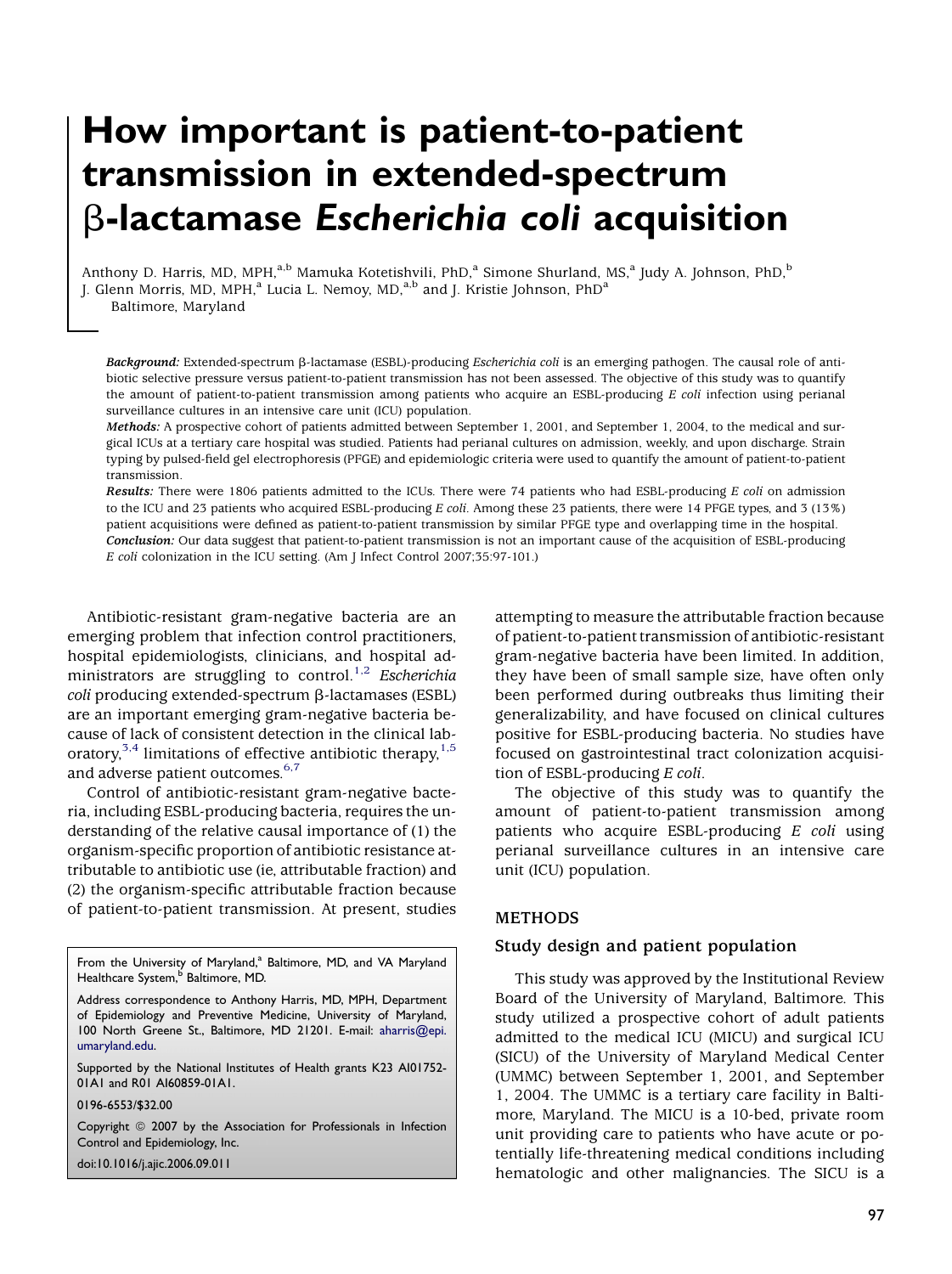# How important is patient-to-patient transmission in extended-spectrum  $\beta$ -lactamase Escherichia coli acquisition

Anthony D. Harris, MD, MPH,<sup>a,b</sup> Mamuka Kotetishvili, PhD,<sup>a</sup> Simone Shurland, MS,<sup>a</sup> Judy A. Johnson, PhD,<sup>b</sup> J. Glenn Morris, MD, MPH,<sup>a</sup> Lucia L. Nemoy, MD,<sup>a,b</sup> and J. Kristie Johnson, PhD<sup>a</sup> Baltimore, Maryland

Background: Extended-spectrum  $\beta$ -lactamase (ESBL)-producing *Escherichia coli* is an emerging pathogen. The causal role of antibiotic selective pressure versus patient-to-patient transmission has not been assessed. The objective of this study was to quantify the amount of patient-to-patient transmission among patients who acquire an ESBL-producing E coli infection using perianal surveillance cultures in an intensive care unit (ICU) population.

Methods: A prospective cohort of patients admitted between September 1, 2001, and September 1, 2004, to the medical and surgical ICUs at a tertiary care hospital was studied. Patients had perianal cultures on admission, weekly, and upon discharge. Strain typing by pulsed-field gel electrophoresis (PFGE) and epidemiologic criteria were used to quantify the amount of patient-to-patient transmission.

Results: There were 1806 patients admitted to the ICUs. There were 74 patients who had ESBL-producing E coli on admission to the ICU and 23 patients who acquired ESBL-producing E coli. Among these 23 patients, there were 14 PFGE types, and 3 (13%) patient acquisitions were defined as patient-to-patient transmission by similar PFGE type and overlapping time in the hospital. Conclusion: Our data suggest that patient-to-patient transmission is not an important cause of the acquisition of ESBL-producing E coli colonization in the ICU setting. (Am J Infect Control 2007;35:97-101.)

Antibiotic-resistant gram-negative bacteria are an emerging problem that infection control practitioners, hospital epidemiologists, clinicians, and hospital ad-ministrators are struggling to control.<sup>[1,2](#page-3-0)</sup> Escherichia  $\text{coli}$  producing extended-spectrum  $\beta$ -lactamases (ESBL) are an important emerging gram-negative bacteria because of lack of consistent detection in the clinical laboratory, $3,4$  limitations of effective antibiotic therapy, $1,5$ and adverse patient outcomes.<sup>[6,7](#page-3-0)</sup>

Control of antibiotic-resistant gram-negative bacteria, including ESBL-producing bacteria, requires the understanding of the relative causal importance of (1) the organism-specific proportion of antibiotic resistance attributable to antibiotic use (ie, attributable fraction) and (2) the organism-specific attributable fraction because of patient-to-patient transmission. At present, studies

From the University of Maryland,<sup>a</sup> Baltimore, MD, and VA Maryland Healthcare System,<sup>b</sup> Baltimore, MD.

Address correspondence to Anthony Harris, MD, MPH, Department of Epidemiology and Preventive Medicine, University of Maryland, 100 North Greene St., Baltimore, MD 21201. E-mail: [aharris@epi.](mailto:aharris@epi.umaryland.edu) [umaryland.edu](mailto:aharris@epi.umaryland.edu).

Supported by the National Institutes of Health grants K23 AI01752- 01A1 and R01 AI60859-01A1.

0196-6553/\$32.00

Copyright @ 2007 by the Association for Professionals in Infection Control and Epidemiology, Inc.

doi:10.1016/j.ajic.2006.09.011

attempting to measure the attributable fraction because of patient-to-patient transmission of antibiotic-resistant gram-negative bacteria have been limited. In addition, they have been of small sample size, have often only been performed during outbreaks thus limiting their generalizability, and have focused on clinical cultures positive for ESBL-producing bacteria. No studies have focused on gastrointestinal tract colonization acquisition of ESBL-producing E coli.

The objective of this study was to quantify the amount of patient-to-patient transmission among patients who acquire ESBL-producing E coli using perianal surveillance cultures in an intensive care unit (ICU) population.

# METHODS

#### Study design and patient population

This study was approved by the Institutional Review Board of the University of Maryland, Baltimore. This study utilized a prospective cohort of adult patients admitted to the medical ICU (MICU) and surgical ICU (SICU) of the University of Maryland Medical Center (UMMC) between September 1, 2001, and September 1, 2004. The UMMC is a tertiary care facility in Baltimore, Maryland. The MICU is a 10-bed, private room unit providing care to patients who have acute or potentially life-threatening medical conditions including hematologic and other malignancies. The SICU is a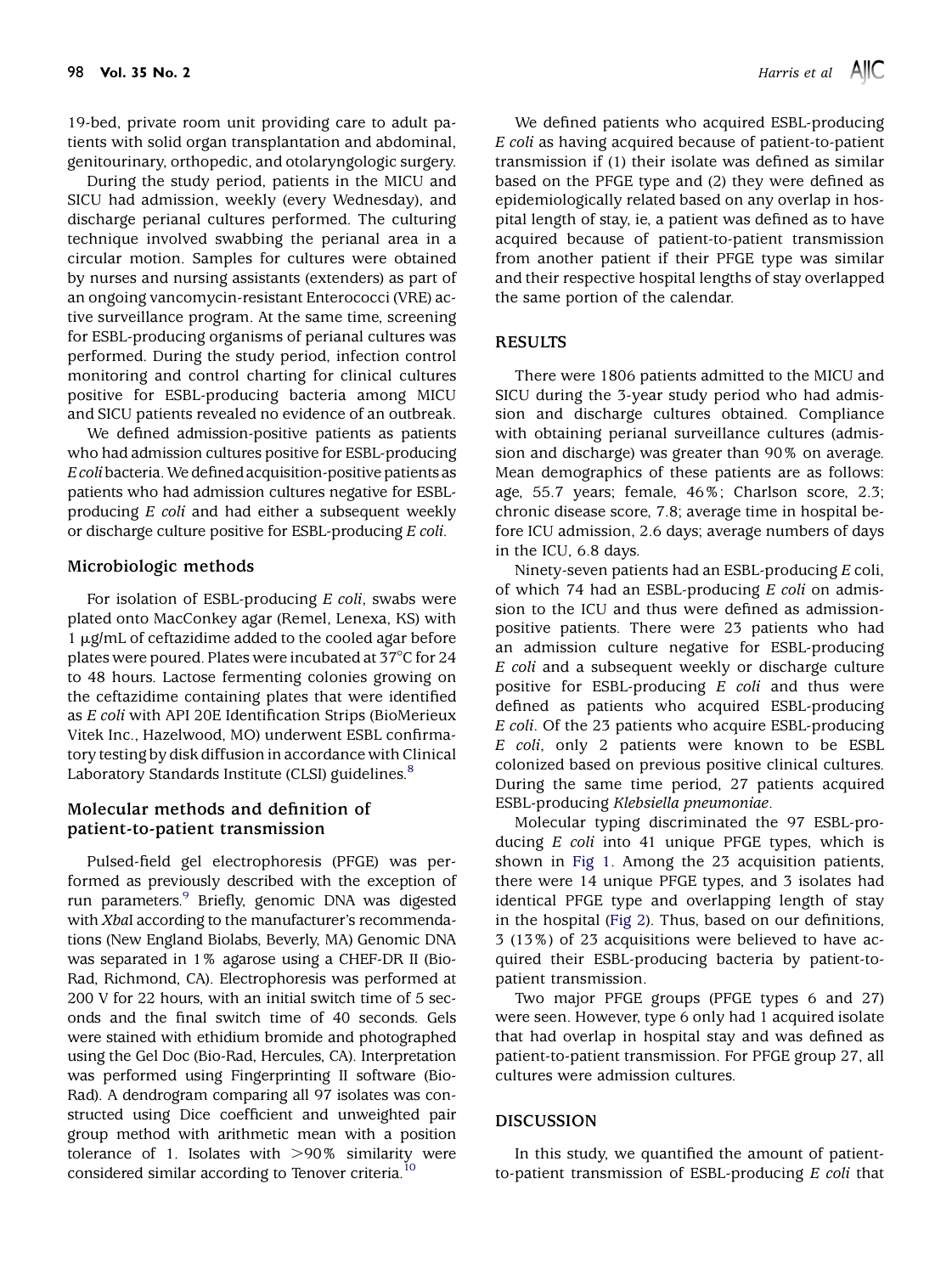19-bed, private room unit providing care to adult patients with solid organ transplantation and abdominal, genitourinary, orthopedic, and otolaryngologic surgery.

During the study period, patients in the MICU and SICU had admission, weekly (every Wednesday), and discharge perianal cultures performed. The culturing technique involved swabbing the perianal area in a circular motion. Samples for cultures were obtained by nurses and nursing assistants (extenders) as part of an ongoing vancomycin-resistant Enterococci (VRE) active surveillance program. At the same time, screening for ESBL-producing organisms of perianal cultures was performed. During the study period, infection control monitoring and control charting for clinical cultures positive for ESBL-producing bacteria among MICU and SICU patients revealed no evidence of an outbreak.

We defined admission-positive patients as patients who had admission cultures positive for ESBL-producing E coli bacteria.We defined acquisition-positive patients as patients who had admission cultures negative for ESBLproducing E coli and had either a subsequent weekly or discharge culture positive for ESBL-producing E coli.

#### Microbiologic methods

For isolation of ESBL-producing E coli, swabs were plated onto MacConkey agar (Remel, Lenexa, KS) with 1 µg/mL of ceftazidime added to the cooled agar before plates were poured. Plates were incubated at  $37^{\circ}$ C for 24 to 48 hours. Lactose fermenting colonies growing on the ceftazidime containing plates that were identified as E coli with API 20E Identification Strips (BioMerieux Vitek Inc., Hazelwood, MO) underwent ESBL confirmatory testing by disk diffusion in accordance with Clinical Laboratory Standards Institute (CLSI) guidelines.<sup>[8](#page-4-0)</sup>

# Molecular methods and definition of patient-to-patient transmission

Pulsed-field gel electrophoresis (PFGE) was performed as previously described with the exception of run parameters.<sup>9</sup> Briefly, genomic DNA was digested with XbaI according to the manufacturer's recommendations (New England Biolabs, Beverly, MA) Genomic DNA was separated in 1% agarose using a CHEF-DR II (Bio-Rad, Richmond, CA). Electrophoresis was performed at 200 V for 22 hours, with an initial switch time of 5 seconds and the final switch time of 40 seconds. Gels were stained with ethidium bromide and photographed using the Gel Doc (Bio-Rad, Hercules, CA). Interpretation was performed using Fingerprinting II software (Bio-Rad). A dendrogram comparing all 97 isolates was constructed using Dice coefficient and unweighted pair group method with arithmetic mean with a position tolerance of 1. Isolates with  $>90\%$  similarity were considered similar according to Tenover criteria.<sup>[10](#page-4-0)</sup>

We defined patients who acquired ESBL-producing E coli as having acquired because of patient-to-patient transmission if (1) their isolate was defined as similar based on the PFGE type and (2) they were defined as epidemiologically related based on any overlap in hospital length of stay, ie, a patient was defined as to have acquired because of patient-to-patient transmission from another patient if their PFGE type was similar and their respective hospital lengths of stay overlapped the same portion of the calendar.

#### RESULTS

There were 1806 patients admitted to the MICU and SICU during the 3-year study period who had admission and discharge cultures obtained. Compliance with obtaining perianal surveillance cultures (admission and discharge) was greater than 90% on average. Mean demographics of these patients are as follows: age, 55.7 years; female, 46%; Charlson score, 2.3; chronic disease score, 7.8; average time in hospital before ICU admission, 2.6 days; average numbers of days in the ICU, 6.8 days.

Ninety-seven patients had an ESBL-producing E coli, of which 74 had an ESBL-producing E coli on admission to the ICU and thus were defined as admissionpositive patients. There were 23 patients who had an admission culture negative for ESBL-producing E coli and a subsequent weekly or discharge culture positive for ESBL-producing  $E$  coli and thus were defined as patients who acquired ESBL-producing E coli. Of the 23 patients who acquire ESBL-producing E coli, only 2 patients were known to be ESBL colonized based on previous positive clinical cultures. During the same time period, 27 patients acquired ESBL-producing Klebsiella pneumoniae.

Molecular typing discriminated the 97 ESBL-producing E coli into 41 unique PFGE types, which is shown in [Fig 1](#page-2-0). Among the 23 acquisition patients, there were 14 unique PFGE types, and 3 isolates had identical PFGE type and overlapping length of stay in the hospital ([Fig 2\)](#page-3-0). Thus, based on our definitions, 3 (13%) of 23 acquisitions were believed to have acquired their ESBL-producing bacteria by patient-topatient transmission.

Two major PFGE groups (PFGE types 6 and 27) were seen. However, type 6 only had 1 acquired isolate that had overlap in hospital stay and was defined as patient-to-patient transmission. For PFGE group 27, all cultures were admission cultures.

#### DISCUSSION

In this study, we quantified the amount of patientto-patient transmission of ESBL-producing E coli that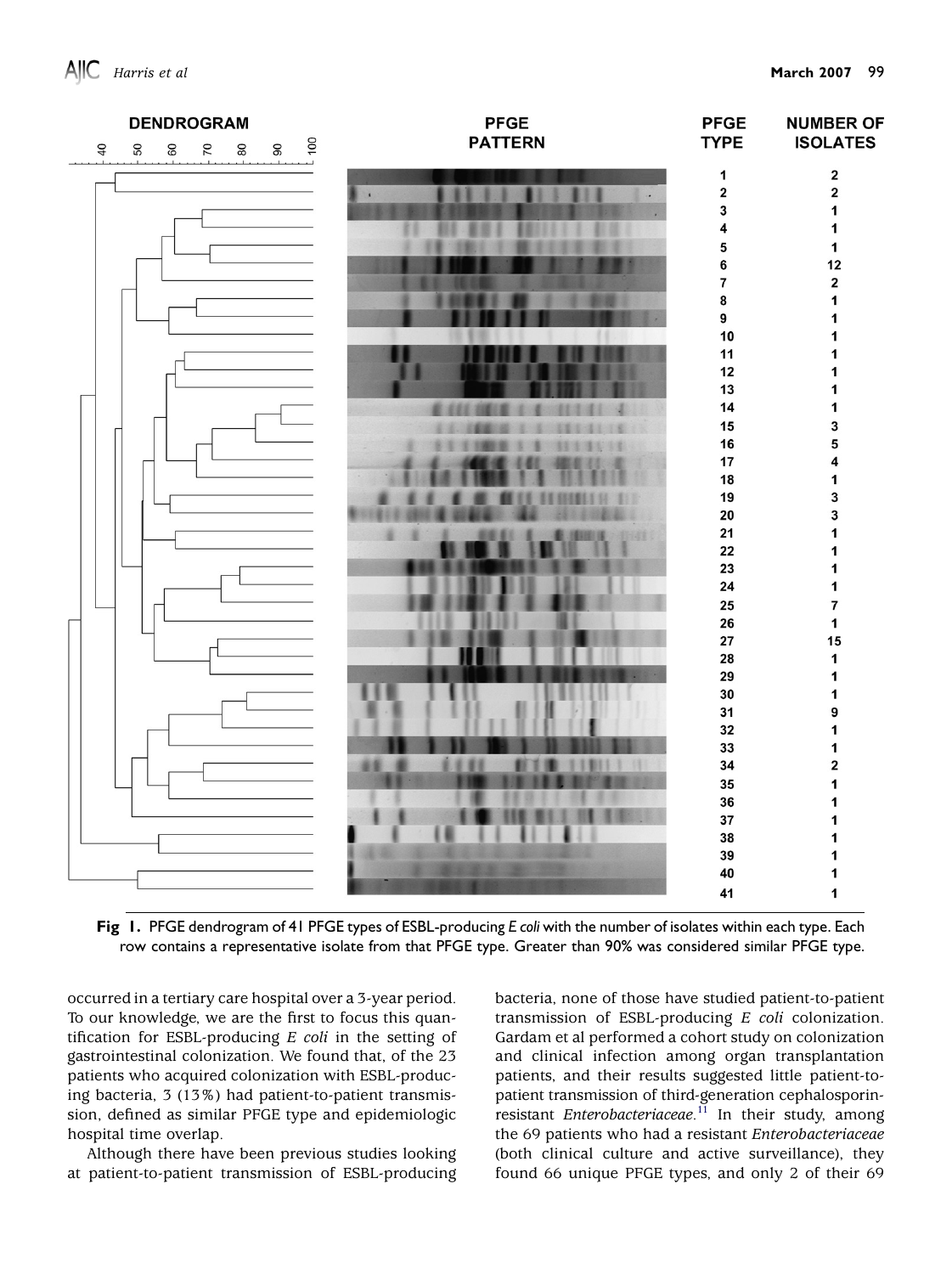<span id="page-2-0"></span>

Fig 1. PFGE dendrogram of 41 PFGE types of ESBL-producing E coli with the number of isolates within each type. Each row contains a representative isolate from that PFGE type. Greater than 90% was considered similar PFGE type.

occurred in a tertiary care hospital over a 3-year period. To our knowledge, we are the first to focus this quantification for ESBL-producing  $E$  coli in the setting of gastrointestinal colonization. We found that, of the 23 patients who acquired colonization with ESBL-producing bacteria, 3 (13%) had patient-to-patient transmission, defined as similar PFGE type and epidemiologic hospital time overlap.

Although there have been previous studies looking at patient-to-patient transmission of ESBL-producing bacteria, none of those have studied patient-to-patient transmission of ESBL-producing E coli colonization. Gardam et al performed a cohort study on colonization and clinical infection among organ transplantation patients, and their results suggested little patient-topatient transmission of third-generation cephalosporin-resistant Enterobacteriaceae.<sup>[11](#page-4-0)</sup> In their study, among the 69 patients who had a resistant Enterobacteriaceae (both clinical culture and active surveillance), they found 66 unique PFGE types, and only 2 of their 69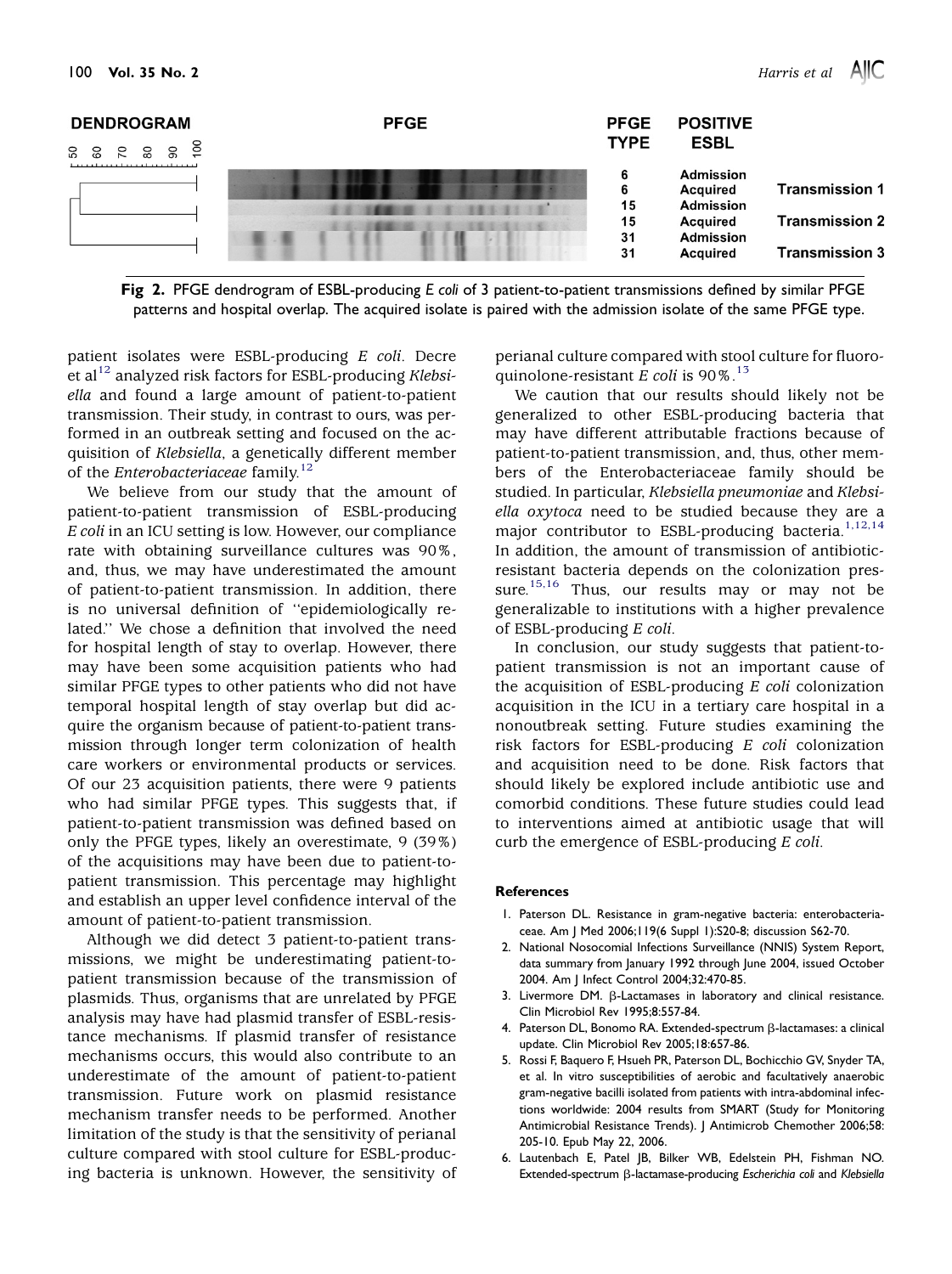<span id="page-3-0"></span>

Fig 2. PFGE dendrogram of ESBL-producing E coli of 3 patient-to-patient transmissions defined by similar PFGE patterns and hospital overlap. The acquired isolate is paired with the admission isolate of the same PFGE type.

patient isolates were ESBL-producing E coli. Decre et al<sup>[12](#page-4-0)</sup> analyzed risk factors for ESBL-producing Klebsiella and found a large amount of patient-to-patient transmission. Their study, in contrast to ours, was performed in an outbreak setting and focused on the acquisition of Klebsiella, a genetically different member of the Enterobacteriaceae family.<sup>12</sup>

We believe from our study that the amount of patient-to-patient transmission of ESBL-producing E coli in an ICU setting is low. However, our compliance rate with obtaining surveillance cultures was 90%, and, thus, we may have underestimated the amount of patient-to-patient transmission. In addition, there is no universal definition of ''epidemiologically related.'' We chose a definition that involved the need for hospital length of stay to overlap. However, there may have been some acquisition patients who had similar PFGE types to other patients who did not have temporal hospital length of stay overlap but did acquire the organism because of patient-to-patient transmission through longer term colonization of health care workers or environmental products or services. Of our 23 acquisition patients, there were 9 patients who had similar PFGE types. This suggests that, if patient-to-patient transmission was defined based on only the PFGE types, likely an overestimate, 9 (39%) of the acquisitions may have been due to patient-topatient transmission. This percentage may highlight and establish an upper level confidence interval of the amount of patient-to-patient transmission.

Although we did detect 3 patient-to-patient transmissions, we might be underestimating patient-topatient transmission because of the transmission of plasmids. Thus, organisms that are unrelated by PFGE analysis may have had plasmid transfer of ESBL-resistance mechanisms. If plasmid transfer of resistance mechanisms occurs, this would also contribute to an underestimate of the amount of patient-to-patient transmission. Future work on plasmid resistance mechanism transfer needs to be performed. Another limitation of the study is that the sensitivity of perianal culture compared with stool culture for ESBL-producing bacteria is unknown. However, the sensitivity of perianal culture compared with stool culture for fluoroquinolone-resistant E coli is  $90\%$ .<sup>[13](#page-4-0)</sup>

We caution that our results should likely not be generalized to other ESBL-producing bacteria that may have different attributable fractions because of patient-to-patient transmission, and, thus, other members of the Enterobacteriaceae family should be studied. In particular, Klebsiella pneumoniae and Klebsiella oxytoca need to be studied because they are a major contributor to ESBL-producing bacteria.<sup>1,12,14</sup> In addition, the amount of transmission of antibioticresistant bacteria depends on the colonization pres-sure.<sup>[15,16](#page-4-0)</sup> Thus, our results may or may not be generalizable to institutions with a higher prevalence of ESBL-producing E coli.

In conclusion, our study suggests that patient-topatient transmission is not an important cause of the acquisition of ESBL-producing E coli colonization acquisition in the ICU in a tertiary care hospital in a nonoutbreak setting. Future studies examining the risk factors for ESBL-producing E coli colonization and acquisition need to be done. Risk factors that should likely be explored include antibiotic use and comorbid conditions. These future studies could lead to interventions aimed at antibiotic usage that will curb the emergence of ESBL-producing E coli.

#### **References**

- 1. Paterson DL. Resistance in gram-negative bacteria: enterobacteriaceae. Am J Med 2006;119(6 Suppl 1):S20-8; discussion S62-70.
- 2. National Nosocomial Infections Surveillance (NNIS) System Report, data summary from January 1992 through June 2004, issued October 2004. Am J Infect Control 2004;32:470-85.
- 3. Livermore DM.  $\beta$ -Lactamases in laboratory and clinical resistance. Clin Microbiol Rev 1995;8:557-84.
- 4. Paterson DL, Bonomo RA. Extended-spectrum ß-lactamases: a clinical update. Clin Microbiol Rev 2005;18:657-86.
- 5. Rossi F, Baquero F, Hsueh PR, Paterson DL, Bochicchio GV, Snyder TA, et al. In vitro susceptibilities of aerobic and facultatively anaerobic gram-negative bacilli isolated from patients with intra-abdominal infections worldwide: 2004 results from SMART (Study for Monitoring Antimicrobial Resistance Trends). J Antimicrob Chemother 2006;58: 205-10. Epub May 22, 2006.
- 6. Lautenbach E, Patel JB, Bilker WB, Edelstein PH, Fishman NO. Extended-spectrum ß-lactamase-producing Escherichia coli and Klebsiella